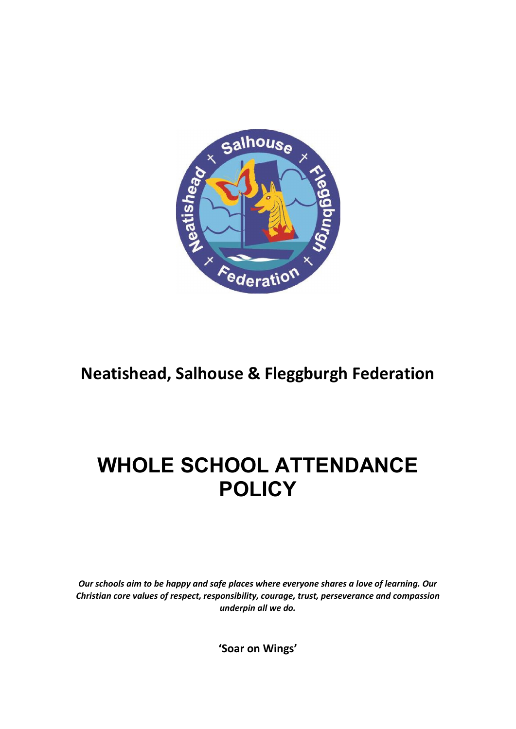

# **Neatishead, Salhouse & Fleggburgh Federation**

# **WHOLE SCHOOL ATTENDANCE POLICY**

*Our schools aim to be happy and safe places where everyone shares a love of learning. Our Christian core values of respect, responsibility, courage, trust, perseverance and compassion underpin all we do.*

**'Soar on Wings'**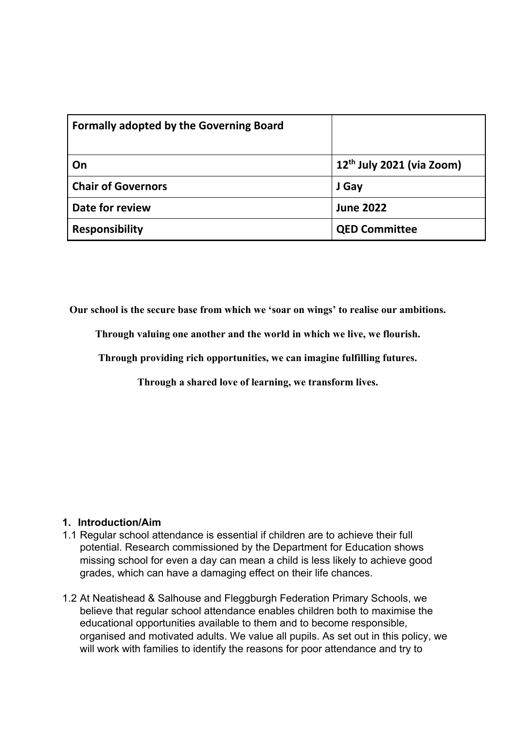| <b>Formally adopted by the Governing Board</b> |                             |
|------------------------------------------------|-----------------------------|
| On                                             | $12th$ July 2021 (via Zoom) |
| <b>Chair of Governors</b>                      | J Gay                       |
| Date for review                                | <b>June 2022</b>            |
| <b>Responsibility</b>                          | <b>QED Committee</b>        |

**Our school is the secure base from which we 'soar on wings' to realise our ambitions.**

**Through valuing one another and the world in which we live, we flourish.**

**Through providing rich opportunities, we can imagine fulfilling futures.**

**Through a shared love of learning, we transform lives.**

#### **1. Introduction/Aim**

- 1.1 Regular school attendance is essential if children are to achieve their full potential. [Research](https://www.gov.uk/government/publications/absence-and-attainment-at-key-stages-2-and-4-2013-to-2014) commissioned by the Department for Education shows missing school for even a day can mean a child is less likely to achieve good grades, which can have a damaging effect on their life chances.
- 1.2 At Neatishead & Salhouse and Fleggburgh Federation Primary Schools, we believe that regular school attendance enables children both to maximise the educational opportunities available to them and to become responsible, organised and motivated adults. We value all pupils. As set out in this policy, we will work with families to identify the reasons for poor attendance and try to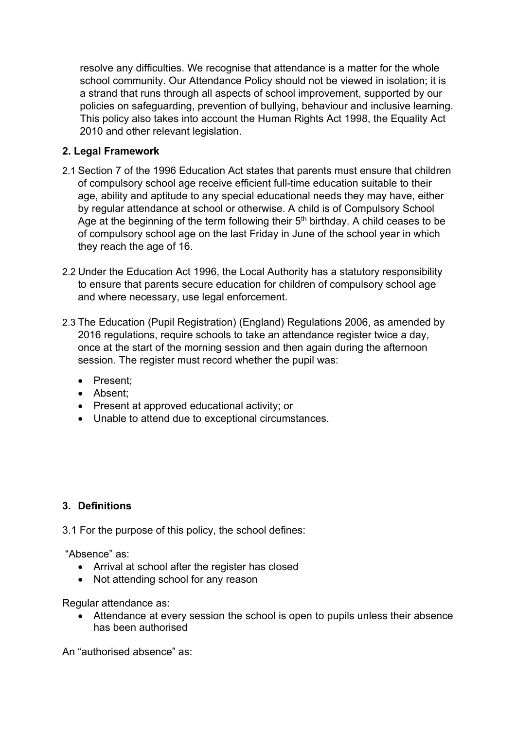resolve any difficulties. We recognise that attendance is a matter for the whole school community. Our Attendance Policy should not be viewed in isolation; it is a strand that runs through all aspects of school improvement, supported by our policies on safeguarding, prevention of bullying, behaviour and inclusive learning. This policy also takes into account the Human Rights Act 1998, the Equality Act 2010 and other relevant legislation.

#### **2. Legal Framework**

- 2.1 Section 7 of the 1996 Education Act states that parents must ensure that children of compulsory school age receive efficient full-time education suitable to their age, ability and aptitude to any special educational needs they may have, either by regular attendance at school or otherwise. A child is of Compulsory School Age at the beginning of the term following their 5<sup>th</sup> birthday. A child ceases to be of compulsory school age on the last Friday in June of the school year in which they reach the age of 16.
- 2.2 Under the Education Act 1996, the Local Authority has a statutory responsibility to ensure that parents secure education for children of compulsory school age and where necessary, use legal enforcement.
- 2.3 The Education (Pupil Registration) (England) Regulations 2006, as amended by 2016 regulations, require schools to take an attendance register twice a day, once at the start of the morning session and then again during the afternoon session. The register must record whether the pupil was:
	- ∑ Present;
	- Absent:
	- ∑ Present at approved educational activity; or
	- Unable to attend due to exceptional circumstances.

#### **3. Definitions**

3.1 For the purpose of this policy, the school defines:

"Absence" as:

- Arrival at school after the register has closed
- Not attending school for any reason

Regular attendance as:

■ Attendance at every session the school is open to pupils unless their absence has been authorised

An "authorised absence" as: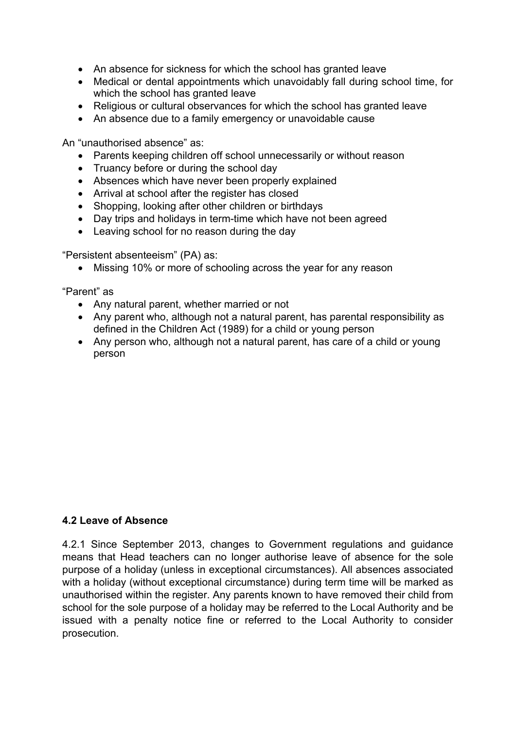- An absence for sickness for which the school has granted leave
- Medical or dental appointments which unavoidably fall during school time, for which the school has granted leave
- Religious or cultural observances for which the school has granted leave
- An absence due to a family emergency or unavoidable cause

An "unauthorised absence" as:

- Parents keeping children off school unnecessarily or without reason
- Truancy before or during the school day
- Absences which have never been properly explained
- Arrival at school after the register has closed
- Shopping, looking after other children or birthdays
- Day trips and holidays in term-time which have not been agreed
- Leaving school for no reason during the day

"Persistent absenteeism" (PA) as:

■ Missing 10% or more of schooling across the year for any reason

"Parent" as

- Any natural parent, whether married or not
- Any parent who, although not a natural parent, has parental responsibility as defined in the Children Act (1989) for a child or young person
- Any person who, although not a natural parent, has care of a child or young person

#### **4.2 Leave of Absence**

4.2.1 Since September 2013, changes to Government regulations and guidance means that Head teachers can no longer authorise leave of absence for the sole purpose of a holiday (unless in exceptional circumstances). All absences associated with a holiday (without exceptional circumstance) during term time will be marked as unauthorised within the register. Any parents known to have removed their child from school for the sole purpose of a holiday may be referred to the Local Authority and be issued with a penalty notice fine or referred to the Local Authority to consider prosecution.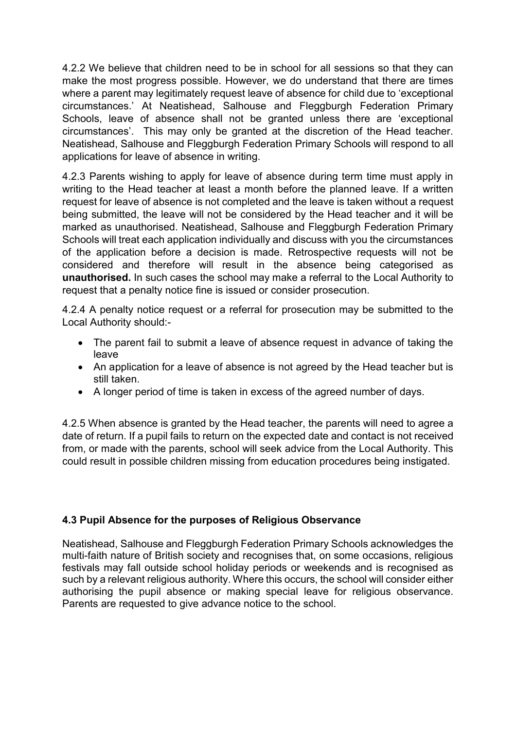4.2.2 We believe that children need to be in school for all sessions so that they can make the most progress possible. However, we do understand that there are times where a parent may legitimately request leave of absence for child due to 'exceptional circumstances.' At Neatishead, Salhouse and Fleggburgh Federation Primary Schools, leave of absence shall not be granted unless there are 'exceptional circumstances'. This may only be granted at the discretion of the Head teacher. Neatishead, Salhouse and Fleggburgh Federation Primary Schools will respond to all applications for leave of absence in writing.

4.2.3 Parents wishing to apply for leave of absence during term time must apply in writing to the Head teacher at least a month before the planned leave. If a written request for leave of absence is not completed and the leave is taken without a request being submitted, the leave will not be considered by the Head teacher and it will be marked as unauthorised. Neatishead, Salhouse and Fleggburgh Federation Primary Schools will treat each application individually and discuss with you the circumstances of the application before a decision is made. Retrospective requests will not be considered and therefore will result in the absence being categorised as **unauthorised.** In such cases the school may make a referral to the Local Authority to request that a penalty notice fine is issued or consider prosecution.

4.2.4 A penalty notice request or a referral for prosecution may be submitted to the Local Authority should:-

- The parent fail to submit a leave of absence request in advance of taking the leave
- An application for a leave of absence is not agreed by the Head teacher but is still taken.
- A longer period of time is taken in excess of the agreed number of days.

4.2.5 When absence is granted by the Head teacher, the parents will need to agree a date of return. If a pupil fails to return on the expected date and contact is not received from, or made with the parents, school will seek advice from the Local Authority. This could result in possible children missing from education procedures being instigated.

#### **4.3 Pupil Absence for the purposes of Religious Observance**

Neatishead, Salhouse and Fleggburgh Federation Primary Schools acknowledges the multi-faith nature of British society and recognises that, on some occasions, religious festivals may fall outside school holiday periods or weekends and is recognised as such by a relevant religious authority. Where this occurs, the school will consider either authorising the pupil absence or making special leave for religious observance. Parents are requested to give advance notice to the school.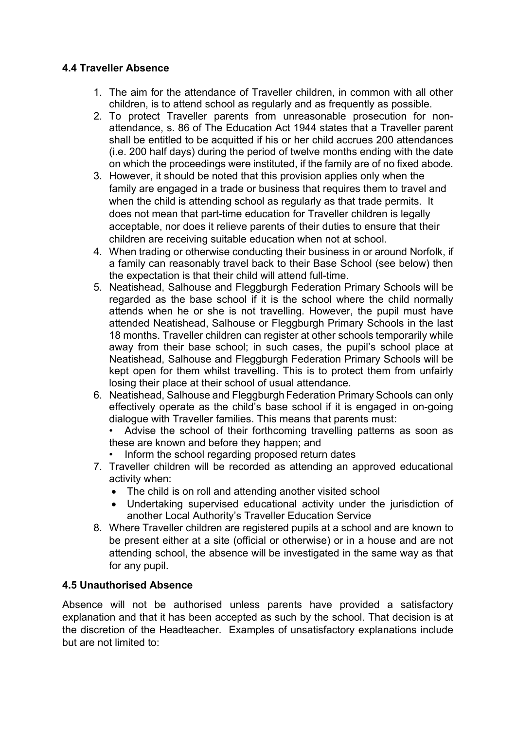#### **4.4 Traveller Absence**

- 1. The aim for the attendance of Traveller children, in common with all other children, is to attend school as regularly and as frequently as possible.
- 2. To protect Traveller parents from unreasonable prosecution for nonattendance, s. 86 of The Education Act 1944 states that a Traveller parent shall be entitled to be acquitted if his or her child accrues 200 attendances (i.e. 200 half days) during the period of twelve months ending with the date on which the proceedings were instituted, if the family are of no fixed abode.
- 3. However, it should be noted that this provision applies only when the family are engaged in a trade or business that requires them to travel and when the child is attending school as regularly as that trade permits. It does not mean that part-time education for Traveller children is legally acceptable, nor does it relieve parents of their duties to ensure that their children are receiving suitable education when not at school.
- 4. When trading or otherwise conducting their business in or around Norfolk, if a family can reasonably travel back to their Base School (see below) then the expectation is that their child will attend full-time.
- 5. Neatishead, Salhouse and Fleggburgh Federation Primary Schools will be regarded as the base school if it is the school where the child normally attends when he or she is not travelling. However, the pupil must have attended Neatishead, Salhouse or Fleggburgh Primary Schools in the last 18 months. Traveller children can register at other schools temporarily while away from their base school; in such cases, the pupil's school place at Neatishead, Salhouse and Fleggburgh Federation Primary Schools will be kept open for them whilst travelling. This is to protect them from unfairly losing their place at their school of usual attendance.
- 6. Neatishead, Salhouse and Fleggburgh Federation Primary Schools can only effectively operate as the child's base school if it is engaged in on-going dialogue with Traveller families. This means that parents must:

Advise the school of their forthcoming travelling patterns as soon as these are known and before they happen; and

- Inform the school regarding proposed return dates
- 7. Traveller children will be recorded as attending an approved educational activity when:
	- The child is on roll and attending another visited school
	- Undertaking supervised educational activity under the jurisdiction of another Local Authority's Traveller Education Service
- 8. Where Traveller children are registered pupils at a school and are known to be present either at a site (official or otherwise) or in a house and are not attending school, the absence will be investigated in the same way as that for any pupil.

#### **4.5 Unauthorised Absence**

Absence will not be authorised unless parents have provided a satisfactory explanation and that it has been accepted as such by the school. That decision is at the discretion of the Headteacher. Examples of unsatisfactory explanations include but are not limited to: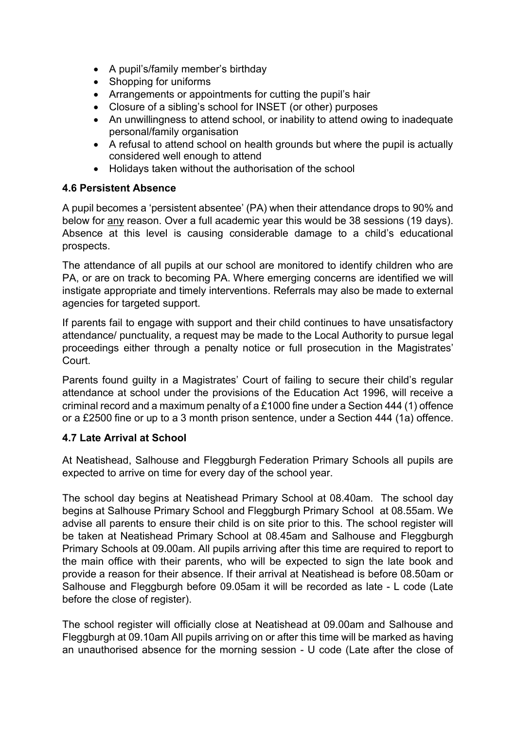- ∑ A pupil's/family member's birthday
- Shopping for uniforms
- Arrangements or appointments for cutting the pupil's hair
- Closure of a sibling's school for INSET (or other) purposes
- An unwillingness to attend school, or inability to attend owing to inadequate personal/family organisation
- A refusal to attend school on health grounds but where the pupil is actually considered well enough to attend
- Holidays taken without the authorisation of the school

#### **4.6 Persistent Absence**

A pupil becomes a 'persistent absentee' (PA) when their attendance drops to 90% and below for any reason. Over a full academic year this would be 38 sessions (19 days). Absence at this level is causing considerable damage to a child's educational prospects.

The attendance of all pupils at our school are monitored to identify children who are PA, or are on track to becoming PA. Where emerging concerns are identified we will instigate appropriate and timely interventions. Referrals may also be made to external agencies for targeted support.

If parents fail to engage with support and their child continues to have unsatisfactory attendance/ punctuality, a request may be made to the Local Authority to pursue legal proceedings either through a penalty notice or full prosecution in the Magistrates' Court.

Parents found guilty in a Magistrates' Court of failing to secure their child's regular attendance at school under the provisions of the Education Act 1996, will receive a criminal record and a maximum penalty of a £1000 fine under a Section 444 (1) offence or a £2500 fine or up to a 3 month prison sentence, under a Section 444 (1a) offence.

#### **4.7 Late Arrival at School**

At Neatishead, Salhouse and Fleggburgh Federation Primary Schools all pupils are expected to arrive on time for every day of the school year.

The school day begins at Neatishead Primary School at 08.40am. The school day begins at Salhouse Primary School and Fleggburgh Primary School at 08.55am. We advise all parents to ensure their child is on site prior to this. The school register will be taken at Neatishead Primary School at 08.45am and Salhouse and Fleggburgh Primary Schools at 09.00am. All pupils arriving after this time are required to report to the main office with their parents, who will be expected to sign the late book and provide a reason for their absence. If their arrival at Neatishead is before 08.50am or Salhouse and Fleggburgh before 09.05am it will be recorded as late - L code (Late before the close of register).

The school register will officially close at Neatishead at 09.00am and Salhouse and Fleggburgh at 09.10am All pupils arriving on or after this time will be marked as having an unauthorised absence for the morning session - U code (Late after the close of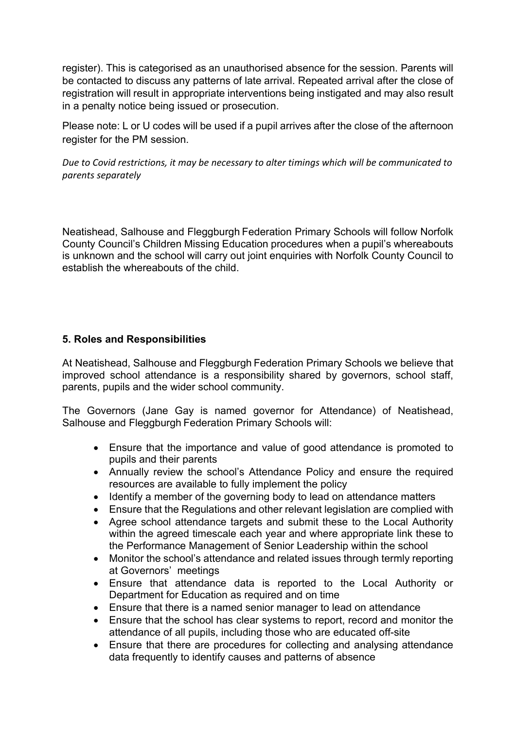register). This is categorised as an unauthorised absence for the session. Parents will be contacted to discuss any patterns of late arrival. Repeated arrival after the close of registration will result in appropriate interventions being instigated and may also result in a penalty notice being issued or prosecution.

Please note: L or U codes will be used if a pupil arrives after the close of the afternoon register for the PM session.

*Due to Covid restrictions, it may be necessary to alter timings which will be communicated to parents separately*

Neatishead, Salhouse and Fleggburgh Federation Primary Schools will follow Norfolk County Council's Children Missing Education procedures when a pupil's whereabouts is unknown and the school will carry out joint enquiries with Norfolk County Council to establish the whereabouts of the child.

#### **5. Roles and Responsibilities**

At Neatishead, Salhouse and Fleggburgh Federation Primary Schools we believe that improved school attendance is a responsibility shared by governors, school staff, parents, pupils and the wider school community.

The Governors (Jane Gay is named governor for Attendance) of Neatishead, Salhouse and Fleggburgh Federation Primary Schools will:

- Ensure that the importance and value of good attendance is promoted to pupils and their parents
- Annually review the school's Attendance Policy and ensure the required resources are available to fully implement the policy
- Identify a member of the governing body to lead on attendance matters
- ∑ Ensure that the Regulations and other relevant legislation are complied with
- Agree school attendance targets and submit these to the Local Authority within the agreed timescale each year and where appropriate link these to the Performance Management of Senior Leadership within the school
- Monitor the school's attendance and related issues through termly reporting at Governors' meetings
- ∑ Ensure that attendance data is reported to the Local Authority or Department for Education as required and on time
- Ensure that there is a named senior manager to lead on attendance
- Ensure that the school has clear systems to report, record and monitor the attendance of all pupils, including those who are educated off-site
- Ensure that there are procedures for collecting and analysing attendance data frequently to identify causes and patterns of absence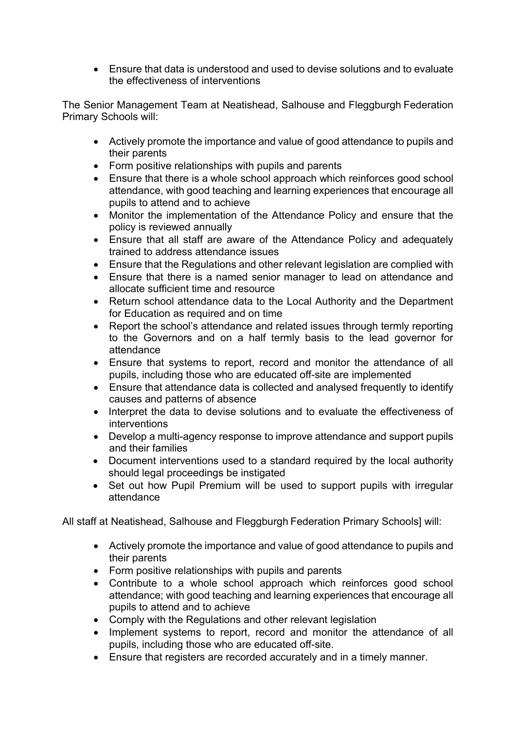∑ Ensure that data is understood and used to devise solutions and to evaluate the effectiveness of interventions

The Senior Management Team at Neatishead, Salhouse and Fleggburgh Federation Primary Schools will:

- Actively promote the importance and value of good attendance to pupils and their parents
- ∑ Form positive relationships with pupils and parents
- Ensure that there is a whole school approach which reinforces good school attendance, with good teaching and learning experiences that encourage all pupils to attend and to achieve
- Monitor the implementation of the Attendance Policy and ensure that the policy is reviewed annually
- Ensure that all staff are aware of the Attendance Policy and adequately trained to address attendance issues
- Ensure that the Regulations and other relevant legislation are complied with
- Ensure that there is a named senior manager to lead on attendance and allocate sufficient time and resource
- Return school attendance data to the Local Authority and the Department for Education as required and on time
- Report the school's attendance and related issues through termly reporting to the Governors and on a half termly basis to the lead governor for attendance
- Ensure that systems to report, record and monitor the attendance of all pupils, including those who are educated off-site are implemented
- ∑ Ensure that attendance data is collected and analysed frequently to identify causes and patterns of absence
- Interpret the data to devise solutions and to evaluate the effectiveness of interventions
- Develop a multi-agency response to improve attendance and support pupils and their families
- Document interventions used to a standard required by the local authority should legal proceedings be instigated
- Set out how Pupil Premium will be used to support pupils with irregular attendance

All staff at Neatishead, Salhouse and Fleggburgh Federation Primary Schools] will:

- Actively promote the importance and value of good attendance to pupils and their parents
- ∑ Form positive relationships with pupils and parents
- ∑ Contribute to a whole school approach which reinforces good school attendance; with good teaching and learning experiences that encourage all pupils to attend and to achieve
- Comply with the Regulations and other relevant legislation
- Implement systems to report, record and monitor the attendance of all pupils, including those who are educated off-site.
- ∑ Ensure that registers are recorded accurately and in a timely manner.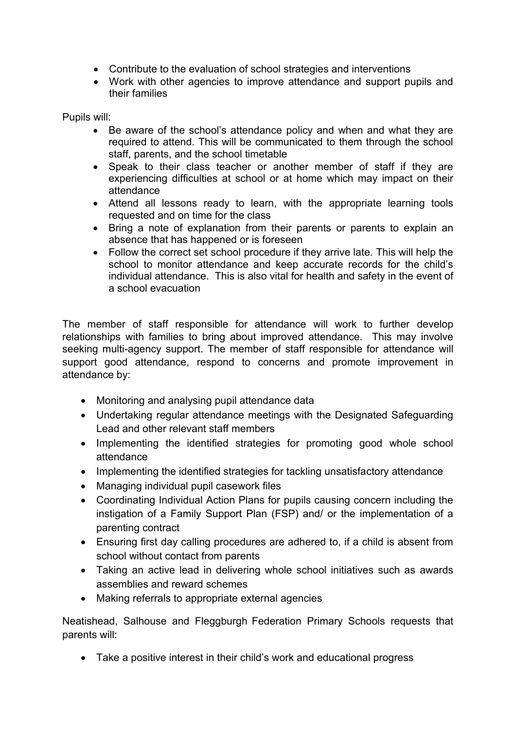- ∑ Contribute to the evaluation of school strategies and interventions
- Work with other agencies to improve attendance and support pupils and their families

Pupils will:

- Be aware of the school's attendance policy and when and what they are required to attend. This will be communicated to them through the school staff, parents, and the school timetable
- Speak to their class teacher or another member of staff if they are experiencing difficulties at school or at home which may impact on their attendance
- Attend all lessons ready to learn, with the appropriate learning tools requested and on time for the class
- Bring a note of explanation from their parents or parents to explain an absence that has happened or is foreseen
- ∑ Follow the correct set school procedure if they arrive late. This will help the school to monitor attendance and keep accurate records for the child's individual attendance. This is also vital for health and safety in the event of a school evacuation

The member of staff responsible for attendance will work to further develop relationships with families to bring about improved attendance. This may involve seeking multi-agency support. The member of staff responsible for attendance will support good attendance, respond to concerns and promote improvement in attendance by:

- Monitoring and analysing pupil attendance data
- Undertaking regular attendance meetings with the Designated Safeguarding Lead and other relevant staff members
- Implementing the identified strategies for promoting good whole school attendance
- Implementing the identified strategies for tackling unsatisfactory attendance
- Managing individual pupil casework files
- ∑ Coordinating Individual Action Plans for pupils causing concern including the instigation of a Family Support Plan (FSP) and/ or the implementation of a parenting contract
- Ensuring first day calling procedures are adhered to, if a child is absent from school without contact from parents
- Taking an active lead in delivering whole school initiatives such as awards assemblies and reward schemes
- Making referrals to appropriate external agencies

Neatishead, Salhouse and Fleggburgh Federation Primary Schools requests that parents will:

■ Take a positive interest in their child's work and educational progress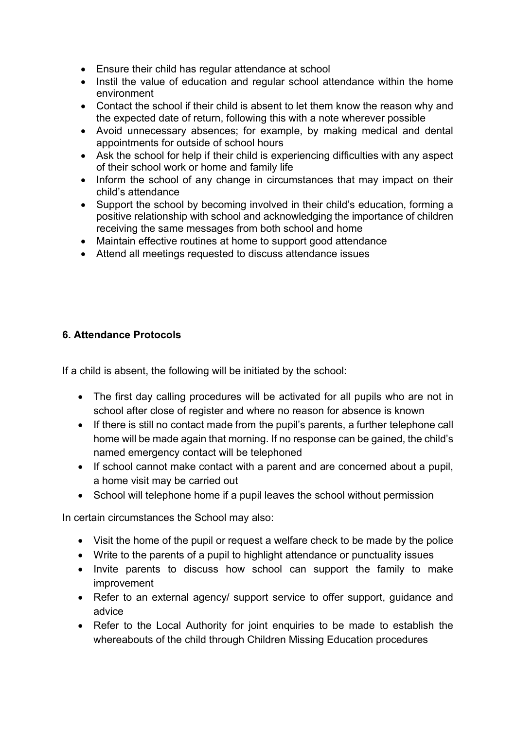- Ensure their child has regular attendance at school
- Instil the value of education and regular school attendance within the home environment
- Contact the school if their child is absent to let them know the reason why and the expected date of return, following this with a note wherever possible
- Avoid unnecessary absences; for example, by making medical and dental appointments for outside of school hours
- Ask the school for help if their child is experiencing difficulties with any aspect of their school work or home and family life
- Inform the school of any change in circumstances that may impact on their child's attendance
- ∑ Support the school by becoming involved in their child's education, forming a positive relationship with school and acknowledging the importance of children receiving the same messages from both school and home
- Maintain effective routines at home to support good attendance
- Attend all meetings requested to discuss attendance issues

## **6. Attendance Protocols**

If a child is absent, the following will be initiated by the school:

- The first day calling procedures will be activated for all pupils who are not in school after close of register and where no reason for absence is known
- If there is still no contact made from the pupil's parents, a further telephone call home will be made again that morning. If no response can be gained, the child's named emergency contact will be telephoned
- If school cannot make contact with a parent and are concerned about a pupil, a home visit may be carried out
- School will telephone home if a pupil leaves the school without permission

In certain circumstances the School may also:

- Visit the home of the pupil or request a welfare check to be made by the police
- Write to the parents of a pupil to highlight attendance or punctuality issues
- Invite parents to discuss how school can support the family to make improvement
- Refer to an external agency/ support service to offer support, guidance and advice
- Refer to the Local Authority for joint enquiries to be made to establish the whereabouts of the child through Children Missing Education procedures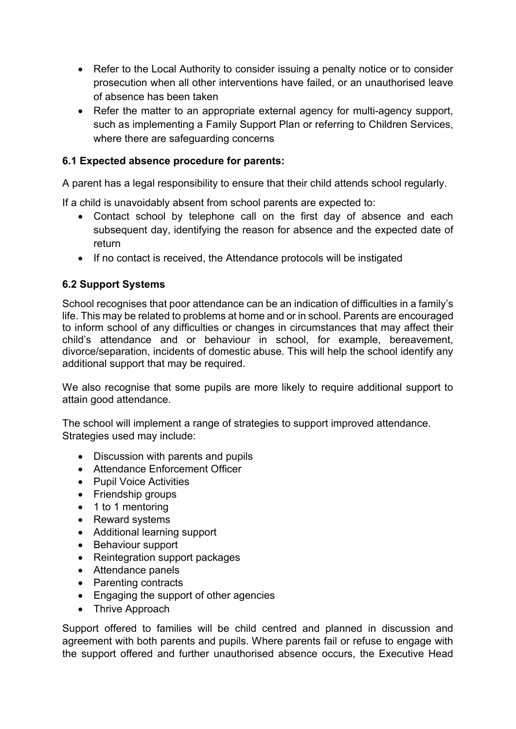- Refer to the Local Authority to consider issuing a penalty notice or to consider prosecution when all other interventions have failed, or an unauthorised leave of absence has been taken
- Refer the matter to an appropriate external agency for multi-agency support, such as implementing a Family Support Plan or referring to Children Services, where there are safeguarding concerns

# **6.1 Expected absence procedure for parents:**

A parent has a legal responsibility to ensure that their child attends school regularly.

If a child is unavoidably absent from school parents are expected to:

- Contact school by telephone call on the first day of absence and each subsequent day, identifying the reason for absence and the expected date of return
- If no contact is received, the Attendance protocols will be instigated

# **6.2 Support Systems**

School recognises that poor attendance can be an indication of difficulties in a family's life. This may be related to problems at home and or in school. Parents are encouraged to inform school of any difficulties or changes in circumstances that may affect their child's attendance and or behaviour in school, for example, bereavement, divorce/separation, incidents of domestic abuse. This will help the school identify any additional support that may be required.

We also recognise that some pupils are more likely to require additional support to attain good attendance.

The school will implement a range of strategies to support improved attendance. Strategies used may include:

- Discussion with parents and pupils
- Attendance Enforcement Officer
- Pupil Voice Activities
- ∑ Friendship groups
- 1 to 1 mentoring
- Reward systems
- Additional learning support
- Behaviour support
- Reintegration support packages
- Attendance panels
- Parenting contracts
- Engaging the support of other agencies
- Thrive Approach

Support offered to families will be child centred and planned in discussion and agreement with both parents and pupils. Where parents fail or refuse to engage with the support offered and further unauthorised absence occurs, the Executive Head